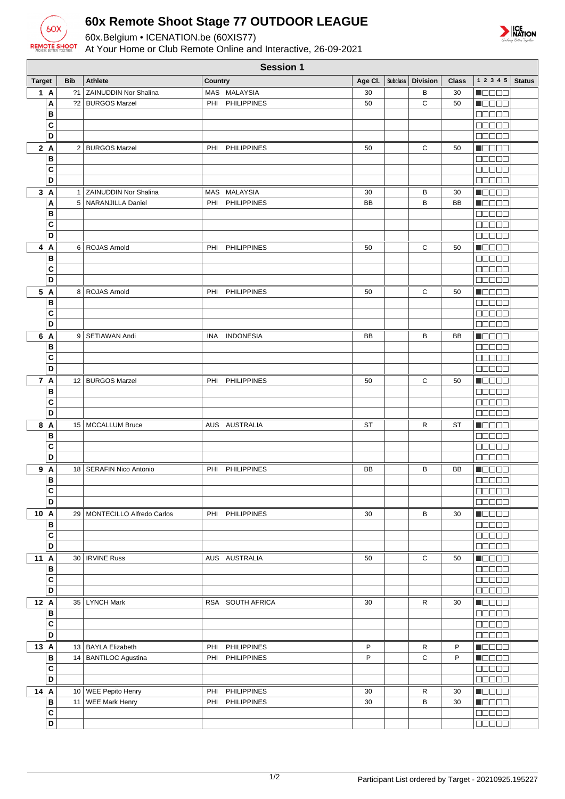

## **60x Remote Shoot Stage 77 OUTDOOR LEAGUE**

60x.Belgium • ICENATION.be (60XIS77)

At Your Home or Club Remote Online and Interactive, 26-09-2021



|               | <b>Session 1</b>              |            |                                            |                                                 |           |  |                               |              |                                                            |               |
|---------------|-------------------------------|------------|--------------------------------------------|-------------------------------------------------|-----------|--|-------------------------------|--------------|------------------------------------------------------------|---------------|
| <b>Target</b> |                               | <b>Bib</b> | <b>Athlete</b>                             | Country                                         |           |  | Age Cl.   Subclass   Division | <b>Class</b> | $1\ 2\ 3\ 4\ 5$                                            | <b>Status</b> |
|               | 1 A                           |            | ?1 ZAINUDDIN Nor Shalina                   | MAS MALAYSIA                                    | 30        |  | В                             | 30           | n do o d                                                   |               |
|               | A                             |            | ?2   BURGOS Marzel                         | <b>PHILIPPINES</b><br>PHI                       | 50        |  | C                             | 50           | <b>M</b> OOOO                                              |               |
|               | B                             |            |                                            |                                                 |           |  |                               |              | 00000                                                      |               |
|               | C                             |            |                                            |                                                 |           |  |                               |              | 00000                                                      |               |
|               | D                             |            |                                            |                                                 |           |  |                               |              | 00000                                                      |               |
|               | 2A<br>B                       |            | 2 BURGOS Marzel                            | <b>PHILIPPINES</b><br>PHI                       | 50        |  | С                             | 50           | N BE E E                                                   |               |
|               | C                             |            |                                            |                                                 |           |  |                               |              | Maaaa                                                      |               |
|               | D                             |            |                                            |                                                 |           |  |                               |              | 00000                                                      |               |
|               | 3A                            |            | 1 ZAINUDDIN Nor Shalina                    | MAS MALAYSIA                                    | 30        |  | в                             | 30           | Maaaa                                                      |               |
|               | A                             |            | 5   NARANJILLA Daniel                      | <b>PHILIPPINES</b><br>PHI                       | <b>BB</b> |  | B                             | <b>BB</b>    | n a seo                                                    |               |
|               | в                             |            |                                            |                                                 |           |  |                               |              | <b>00000</b>                                               |               |
|               | C                             |            |                                            |                                                 |           |  |                               |              | <b>BBBBB</b>                                               |               |
|               | D                             |            |                                            |                                                 |           |  |                               |              | 00000                                                      |               |
| 4             | A                             |            | 6 ROJAS Arnold                             | PHI PHILIPPINES                                 | 50        |  | С                             | 50           | Maaaa                                                      |               |
|               | В                             |            |                                            |                                                 |           |  |                               |              | 00000                                                      |               |
|               | C<br>D                        |            |                                            |                                                 |           |  |                               |              | <b>00000</b>                                               |               |
|               |                               |            |                                            |                                                 |           |  |                               |              | <b>BBBBB</b>                                               |               |
|               | 5 A<br>В                      |            | 8 ROJAS Arnold                             | PHI PHILIPPINES                                 | 50        |  | С                             | 50           | <b>REGES</b><br>00000                                      |               |
|               | C                             |            |                                            |                                                 |           |  |                               |              | 00000                                                      |               |
|               | D                             |            |                                            |                                                 |           |  |                               |              | 00000                                                      |               |
| 6             | A                             |            | 9   SETIAWAN Andi                          | <b>INDONESIA</b><br>INA                         | BB        |  | В                             | BB           | M S S S S                                                  |               |
|               | В                             |            |                                            |                                                 |           |  |                               |              | 00000                                                      |               |
|               | C                             |            |                                            |                                                 |           |  |                               |              | $\Box$ $\Box$ $\Box$ $\Box$                                |               |
|               | D                             |            |                                            |                                                 |           |  |                               |              | 00000                                                      |               |
|               | 7 A                           |            | 12 BURGOS Marzel                           | <b>PHILIPPINES</b><br>PHI                       | 50        |  | С                             | 50           | NO SE S                                                    |               |
|               | B                             |            |                                            |                                                 |           |  |                               |              | 80000                                                      |               |
|               | C                             |            |                                            |                                                 |           |  |                               |              | $\Box \Box \Box \Box \Box$                                 |               |
|               | D                             |            |                                            |                                                 |           |  |                               |              | 00000                                                      |               |
|               | 8 A<br>B                      |            | 15   MCCALLUM Bruce                        | AUS AUSTRALIA                                   | ST        |  | R                             | ST           | n 800 a<br>an da a                                         |               |
|               | C                             |            |                                            |                                                 |           |  |                               |              | <b>00000</b>                                               |               |
|               | D                             |            |                                            |                                                 |           |  |                               |              | <b>BBBBB</b>                                               |               |
| 9             | A                             |            | 18   SERAFIN Nico Antonio                  | PHILIPPINES<br>PHI                              | <b>BB</b> |  | в                             | BB           | HOOOO                                                      |               |
|               | B                             |            |                                            |                                                 |           |  |                               |              | <b>00000</b>                                               |               |
|               | C                             |            |                                            |                                                 |           |  |                               |              | $\Box$ $\Box$ $\Box$ $\Box$ $\Box$                         |               |
|               | $\overline{D}$                |            |                                            |                                                 |           |  |                               |              |                                                            |               |
| 10 A          |                               |            | 29   MONTECILLO Alfredo Carlos             | PHI PHILIPPINES                                 | 30        |  | В                             | 30           | $\blacksquare$ $\square$ $\square$ $\square$               |               |
|               | B                             |            |                                            |                                                 |           |  |                               |              | <b>00000</b>                                               |               |
|               | $\mathbf c$<br>$\overline{D}$ |            |                                            |                                                 |           |  |                               |              | <b>00000</b>                                               |               |
|               |                               |            |                                            |                                                 |           |  |                               |              | 00000                                                      |               |
| 11 A          | B                             |            | 30   IRVINE Russ                           | AUS AUSTRALIA                                   | 50        |  | С                             | 50           | <b>MOBEL</b><br><b>00000</b>                               |               |
|               | $\mathbf c$                   |            |                                            |                                                 |           |  |                               |              | <b>00000</b>                                               |               |
|               | D                             |            |                                            |                                                 |           |  |                               |              | $\Box \Box \Box \Box \Box$                                 |               |
| 12 A          |                               |            | 35 LYNCH Mark                              | RSA SOUTH AFRICA                                | 30        |  | R                             | 30           | $\blacksquare$                                             |               |
|               | B                             |            |                                            |                                                 |           |  |                               |              | <b>COOCO</b>                                               |               |
|               | $\mathbf c$                   |            |                                            |                                                 |           |  |                               |              | 00000                                                      |               |
|               | D                             |            |                                            |                                                 |           |  |                               |              | 00000                                                      |               |
| 13 A          |                               |            | 13 BAYLA Elizabeth                         | <b>PHILIPPINES</b><br>PHI                       | P         |  | R                             | P            | <b>REBEE</b>                                               |               |
|               | B                             |            | 14   BANTILOC Agustina                     | <b>PHILIPPINES</b><br>PHI                       | P         |  | C                             | P            | <b>HOOOO</b>                                               |               |
|               | $\mathbf c$<br>D              |            |                                            |                                                 |           |  |                               |              | <b>COOCO</b>                                               |               |
|               |                               |            |                                            |                                                 |           |  |                               |              | 00000                                                      |               |
| 14 A          | B                             |            | 10 WEE Pepito Henry<br>11   WEE Mark Henry | PHILIPPINES<br>PHI<br><b>PHILIPPINES</b><br>PHI | 30<br>30  |  | R<br>B                        | 30<br>30     | Maaaa<br>$\blacksquare$ $\square$ $\square$ $\blacksquare$ |               |
|               |                               |            |                                            |                                                 |           |  |                               |              |                                                            |               |
|               | D                             |            |                                            |                                                 |           |  |                               |              |                                                            |               |
|               | $\mathbf c$                   |            |                                            |                                                 |           |  |                               |              | 00000                                                      |               |
|               |                               |            |                                            |                                                 |           |  |                               |              |                                                            |               |